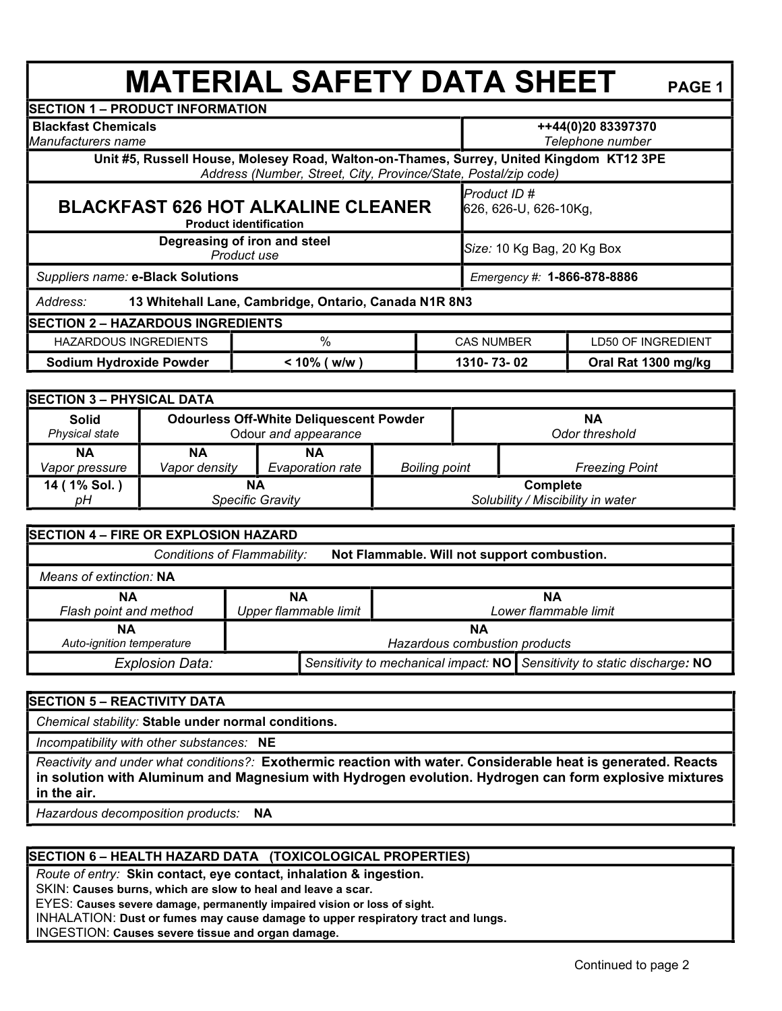# **MATERIAL SAFETY DATA SHEET** PAGE 1

| <b>SECTION 1 - PRODUCT INFORMATION</b>                                                                                            |                                                       |           |                                                                             |                   |                             |                                                      |                                             |                                                                                                            |
|-----------------------------------------------------------------------------------------------------------------------------------|-------------------------------------------------------|-----------|-----------------------------------------------------------------------------|-------------------|-----------------------------|------------------------------------------------------|---------------------------------------------|------------------------------------------------------------------------------------------------------------|
| <b>Blackfast Chemicals</b>                                                                                                        |                                                       |           |                                                                             |                   |                             | ++44(0)20 83397370                                   |                                             |                                                                                                            |
| Telephone number<br>Manufacturers name<br>Unit #5, Russell House, Molesey Road, Walton-on-Thames, Surrey, United Kingdom KT12 3PE |                                                       |           |                                                                             |                   |                             |                                                      |                                             |                                                                                                            |
|                                                                                                                                   |                                                       |           | Address (Number, Street, City, Province/State, Postal/zip code)             |                   |                             |                                                      |                                             |                                                                                                            |
| <b>BLACKFAST 626 HOT ALKALINE CLEANER</b><br><b>Product identification</b>                                                        |                                                       |           |                                                                             |                   |                             | Product ID #<br>626, 626-U, 626-10Kg,                |                                             |                                                                                                            |
| Degreasing of iron and steel<br>Product use                                                                                       |                                                       |           |                                                                             |                   |                             | Size: 10 Kg Bag, 20 Kg Box                           |                                             |                                                                                                            |
| Suppliers name: e-Black Solutions                                                                                                 |                                                       |           |                                                                             |                   | Emergency #: 1-866-878-8886 |                                                      |                                             |                                                                                                            |
| Address:                                                                                                                          | 13 Whitehall Lane, Cambridge, Ontario, Canada N1R 8N3 |           |                                                                             |                   |                             |                                                      |                                             |                                                                                                            |
| <b>SECTION 2 - HAZARDOUS INGREDIENTS</b>                                                                                          |                                                       |           |                                                                             |                   |                             |                                                      |                                             |                                                                                                            |
|                                                                                                                                   | $\frac{0}{0}$<br><b>HAZARDOUS INGREDIENTS</b>         |           |                                                                             | <b>CAS NUMBER</b> |                             |                                                      | <b>LD50 OF INGREDIENT</b>                   |                                                                                                            |
| Sodium Hydroxide Powder                                                                                                           |                                                       |           | $< 10\%$ ( w/w )                                                            |                   |                             | 1310-73-02                                           |                                             | Oral Rat 1300 mg/kg                                                                                        |
| <b>SECTION 3 - PHYSICAL DATA</b>                                                                                                  |                                                       |           |                                                                             |                   |                             |                                                      |                                             |                                                                                                            |
|                                                                                                                                   |                                                       |           |                                                                             |                   |                             |                                                      |                                             |                                                                                                            |
| <b>Solid</b><br>Physical state                                                                                                    | <b>Odourless Off-White Deliquescent Powder</b>        |           | Odour and appearance                                                        |                   |                             | <b>NA</b><br>Odor threshold                          |                                             |                                                                                                            |
| <b>NA</b><br>Vapor pressure                                                                                                       | <b>NA</b><br>Vapor density                            |           | <b>NA</b><br>Evaporation rate                                               |                   | <b>Boiling point</b>        |                                                      |                                             | <b>Freezing Point</b>                                                                                      |
| 14 (1% Sol.)<br>pН                                                                                                                | <b>NA</b><br><b>Specific Gravity</b>                  |           |                                                                             |                   |                             | <b>Complete</b><br>Solubility / Miscibility in water |                                             |                                                                                                            |
| <b>SECTION 4 - FIRE OR EXPLOSION HAZARD</b>                                                                                       |                                                       |           |                                                                             |                   |                             |                                                      |                                             |                                                                                                            |
|                                                                                                                                   | Conditions of Flammability:                           |           |                                                                             |                   |                             |                                                      | Not Flammable. Will not support combustion. |                                                                                                            |
| Means of extinction: NA                                                                                                           |                                                       |           |                                                                             |                   |                             |                                                      |                                             |                                                                                                            |
| ΝA                                                                                                                                |                                                       | <b>NA</b> |                                                                             | <b>NA</b>         |                             |                                                      |                                             |                                                                                                            |
| Flash point and method                                                                                                            |                                                       |           | Upper flammable limit<br>Lower flammable limit                              |                   |                             |                                                      |                                             |                                                                                                            |
| <b>NA</b><br><b>NA</b><br>Auto-ignition temperature<br>Hazardous combustion products                                              |                                                       |           |                                                                             |                   |                             |                                                      |                                             |                                                                                                            |
| <b>Explosion Data:</b>                                                                                                            |                                                       |           | Sensitivity to static discharge: NO<br>Sensitivity to mechanical impact: NO |                   |                             |                                                      |                                             |                                                                                                            |
| <b>SECTION 5 - REACTIVITY DATA</b>                                                                                                |                                                       |           |                                                                             |                   |                             |                                                      |                                             |                                                                                                            |
| Chemical stability: Stable under normal conditions.                                                                               |                                                       |           |                                                                             |                   |                             |                                                      |                                             |                                                                                                            |
| Incompatibility with other substances: NE                                                                                         |                                                       |           |                                                                             |                   |                             |                                                      |                                             |                                                                                                            |
|                                                                                                                                   |                                                       |           |                                                                             |                   |                             |                                                      |                                             | Reactivity and under what conditions? Exothermic reaction with water Considerable heat is generated Reacts |

 *Reactivity and under what conditions?:* **Exothermic reaction with water. Considerable heat is generated. Reacts in solution with Aluminum and Magnesium with Hydrogen evolution. Hydrogen can form explosive mixtures in the air.**

 *Hazardous decomposition products:* **NA**

## **SECTION 6 – HEALTH HAZARD DATA (TOXICOLOGICAL PROPERTIES)**

 *Route of entry:* **Skin contact, eye contact, inhalation & ingestion.** 

SKIN: **Causes burns, which are slow to heal and leave a scar.** 

EYES: **Causes severe damage, permanently impaired vision or loss of sight.** 

INHALATION: **Dust or fumes may cause damage to upper respiratory tract and lungs.**

INGESTION: **Causes severe tissue and organ damage.**